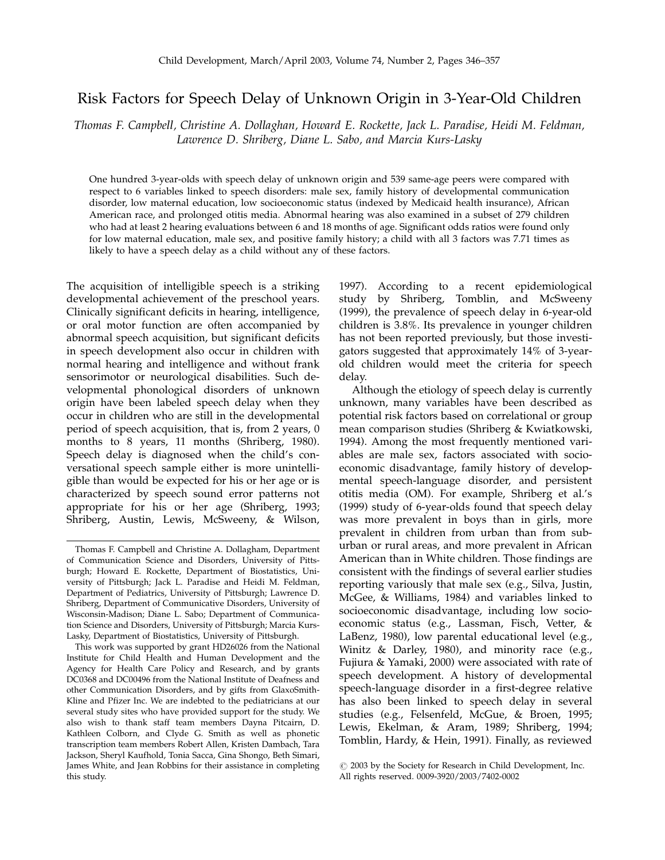# Risk Factors for Speech Delay of Unknown Origin in 3-Year-Old Children

Thomas F. Campbell, Christine A. Dollaghan, Howard E. Rockette, Jack L. Paradise, Heidi M. Feldman, Lawrence D. Shriberg, Diane L. Sabo, and Marcia Kurs-Lasky

One hundred 3-year-olds with speech delay of unknown origin and 539 same-age peers were compared with respect to 6 variables linked to speech disorders: male sex, family history of developmental communication disorder, low maternal education, low socioeconomic status (indexed by Medicaid health insurance), African American race, and prolonged otitis media. Abnormal hearing was also examined in a subset of 279 children who had at least 2 hearing evaluations between 6 and 18 months of age. Significant odds ratios were found only for low maternal education, male sex, and positive family history; a child with all 3 factors was 7.71 times as likely to have a speech delay as a child without any of these factors.

The acquisition of intelligible speech is a striking developmental achievement of the preschool years. Clinically significant deficits in hearing, intelligence, or oral motor function are often accompanied by abnormal speech acquisition, but significant deficits in speech development also occur in children with normal hearing and intelligence and without frank sensorimotor or neurological disabilities. Such developmental phonological disorders of unknown origin have been labeled speech delay when they occur in children who are still in the developmental period of speech acquisition, that is, from 2 years, 0 months to 8 years, 11 months (Shriberg, 1980). Speech delay is diagnosed when the child's conversational speech sample either is more unintelligible than would be expected for his or her age or is characterized by speech sound error patterns not appropriate for his or her age (Shriberg, 1993; Shriberg, Austin, Lewis, McSweeny, & Wilson,

This work was supported by grant HD26026 from the National Institute for Child Health and Human Development and the Agency for Health Care Policy and Research, and by grants DC0368 and DC00496 from the National Institute of Deafness and other Communication Disorders, and by gifts from GlaxoSmith-Kline and Pfizer Inc. We are indebted to the pediatricians at our several study sites who have provided support for the study. We also wish to thank staff team members Dayna Pitcairn, D. Kathleen Colborn, and Clyde G. Smith as well as phonetic transcription team members Robert Allen, Kristen Dambach, Tara Jackson, Sheryl Kaufhold, Tonia Sacca, Gina Shongo, Beth Simari, James White, and Jean Robbins for their assistance in completing this study.

1997). According to a recent epidemiological study by Shriberg, Tomblin, and McSweeny (1999), the prevalence of speech delay in 6-year-old children is 3.8%. Its prevalence in younger children has not been reported previously, but those investigators suggested that approximately 14% of 3-yearold children would meet the criteria for speech delay.

Although the etiology of speech delay is currently unknown, many variables have been described as potential risk factors based on correlational or group mean comparison studies (Shriberg & Kwiatkowski, 1994). Among the most frequently mentioned variables are male sex, factors associated with socioeconomic disadvantage, family history of developmental speech-language disorder, and persistent otitis media (OM). For example, Shriberg et al.'s (1999) study of 6-year-olds found that speech delay was more prevalent in boys than in girls, more prevalent in children from urban than from suburban or rural areas, and more prevalent in African American than in White children. Those findings are consistent with the findings of several earlier studies reporting variously that male sex (e.g., Silva, Justin, McGee, & Williams, 1984) and variables linked to socioeconomic disadvantage, including low socioeconomic status (e.g., Lassman, Fisch, Vetter, & LaBenz, 1980), low parental educational level (e.g., Winitz & Darley, 1980), and minority race (e.g., Fujiura & Yamaki, 2000) were associated with rate of speech development. A history of developmental speech-language disorder in a first-degree relative has also been linked to speech delay in several studies (e.g., Felsenfeld, McGue, & Broen, 1995; Lewis, Ekelman, & Aram, 1989; Shriberg, 1994; Tomblin, Hardy, & Hein, 1991). Finally, as reviewed

Thomas F. Campbell and Christine A. Dollagham, Department of Communication Science and Disorders, University of Pittsburgh; Howard E. Rockette, Department of Biostatistics, University of Pittsburgh; Jack L. Paradise and Heidi M. Feldman, Department of Pediatrics, University of Pittsburgh; Lawrence D. Shriberg, Department of Communicative Disorders, University of Wisconsin-Madison; Diane L. Sabo; Department of Communication Science and Disorders, University of Pittsburgh; Marcia Kurs-Lasky, Department of Biostatistics, University of Pittsburgh.

 $\odot$  2003 by the Society for Research in Child Development, Inc. All rights reserved. 0009-3920/2003/7402-0002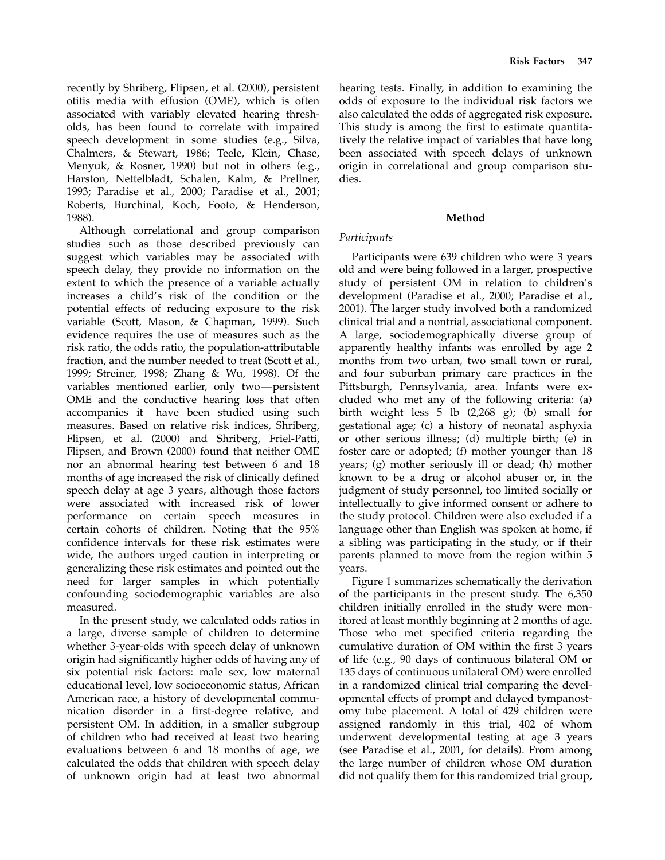recently by Shriberg, Flipsen, et al. (2000), persistent otitis media with effusion (OME), which is often associated with variably elevated hearing thresholds, has been found to correlate with impaired speech development in some studies (e.g., Silva, Chalmers, & Stewart, 1986; Teele, Klein, Chase, Menyuk, & Rosner, 1990) but not in others (e.g., Harston, Nettelbladt, Schalen, Kalm, & Prellner, 1993; Paradise et al., 2000; Paradise et al., 2001; Roberts, Burchinal, Koch, Footo, & Henderson, 1988).

Although correlational and group comparison studies such as those described previously can suggest which variables may be associated with speech delay, they provide no information on the extent to which the presence of a variable actually increases a child's risk of the condition or the potential effects of reducing exposure to the risk variable (Scott, Mason, & Chapman, 1999). Such evidence requires the use of measures such as the risk ratio, the odds ratio, the population-attributable fraction, and the number needed to treat (Scott et al., 1999; Streiner, 1998; Zhang & Wu, 1998). Of the variables mentioned earlier, only two-persistent OME and the conductive hearing loss that often accompanies it-have been studied using such measures. Based on relative risk indices, Shriberg, Flipsen, et al. (2000) and Shriberg, Friel-Patti, Flipsen, and Brown (2000) found that neither OME nor an abnormal hearing test between 6 and 18 months of age increased the risk of clinically defined speech delay at age 3 years, although those factors were associated with increased risk of lower performance on certain speech measures in certain cohorts of children. Noting that the 95% confidence intervals for these risk estimates were wide, the authors urged caution in interpreting or generalizing these risk estimates and pointed out the need for larger samples in which potentially confounding sociodemographic variables are also measured.

In the present study, we calculated odds ratios in a large, diverse sample of children to determine whether 3-year-olds with speech delay of unknown origin had significantly higher odds of having any of six potential risk factors: male sex, low maternal educational level, low socioeconomic status, African American race, a history of developmental communication disorder in a first-degree relative, and persistent OM. In addition, in a smaller subgroup of children who had received at least two hearing evaluations between 6 and 18 months of age, we calculated the odds that children with speech delay of unknown origin had at least two abnormal hearing tests. Finally, in addition to examining the odds of exposure to the individual risk factors we also calculated the odds of aggregated risk exposure. This study is among the first to estimate quantitatively the relative impact of variables that have long been associated with speech delays of unknown origin in correlational and group comparison studies.

### Method

### Participants

Participants were 639 children who were 3 years old and were being followed in a larger, prospective study of persistent OM in relation to children's development (Paradise et al., 2000; Paradise et al., 2001). The larger study involved both a randomized clinical trial and a nontrial, associational component. A large, sociodemographically diverse group of apparently healthy infants was enrolled by age 2 months from two urban, two small town or rural, and four suburban primary care practices in the Pittsburgh, Pennsylvania, area. Infants were excluded who met any of the following criteria: (a) birth weight less 5 lb (2,268 g); (b) small for gestational age; (c) a history of neonatal asphyxia or other serious illness; (d) multiple birth; (e) in foster care or adopted; (f) mother younger than 18 years; (g) mother seriously ill or dead; (h) mother known to be a drug or alcohol abuser or, in the judgment of study personnel, too limited socially or intellectually to give informed consent or adhere to the study protocol. Children were also excluded if a language other than English was spoken at home, if a sibling was participating in the study, or if their parents planned to move from the region within 5 years.

Figure 1 summarizes schematically the derivation of the participants in the present study. The 6,350 children initially enrolled in the study were monitored at least monthly beginning at 2 months of age. Those who met specified criteria regarding the cumulative duration of OM within the first 3 years of life (e.g., 90 days of continuous bilateral OM or 135 days of continuous unilateral OM) were enrolled in a randomized clinical trial comparing the developmental effects of prompt and delayed tympanostomy tube placement. A total of 429 children were assigned randomly in this trial, 402 of whom underwent developmental testing at age 3 years (see Paradise et al., 2001, for details). From among the large number of children whose OM duration did not qualify them for this randomized trial group,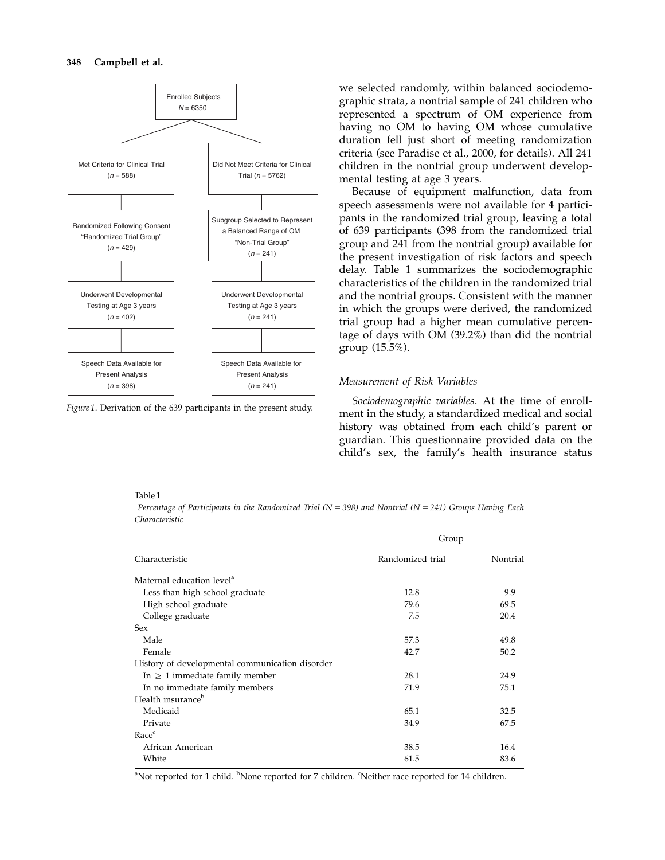

Figure 1. Derivation of the 639 participants in the present study.

we selected randomly, within balanced sociodemographic strata, a nontrial sample of 241 children who represented a spectrum of OM experience from having no OM to having OM whose cumulative duration fell just short of meeting randomization criteria (see Paradise et al., 2000, for details). All 241 children in the nontrial group underwent developmental testing at age 3 years.

Because of equipment malfunction, data from speech assessments were not available for 4 participants in the randomized trial group, leaving a total of 639 participants (398 from the randomized trial group and 241 from the nontrial group) available for the present investigation of risk factors and speech delay. Table 1 summarizes the sociodemographic characteristics of the children in the randomized trial and the nontrial groups. Consistent with the manner in which the groups were derived, the randomized trial group had a higher mean cumulative percentage of days with OM (39.2%) than did the nontrial group (15.5%).

### Measurement of Risk Variables

Sociodemographic variables. At the time of enrollment in the study, a standardized medical and social history was obtained from each child's parent or guardian. This questionnaire provided data on the child's sex, the family's health insurance status

#### Table 1

Percentage of Participants in the Randomized Trial ( $N = 398$ ) and Nontrial ( $N = 241$ ) Groups Having Each Characteristic

| Characteristic                                  | Group            |          |  |
|-------------------------------------------------|------------------|----------|--|
|                                                 | Randomized trial | Nontrial |  |
| Maternal education level <sup>a</sup>           |                  |          |  |
| Less than high school graduate                  | 12.8             | 9.9      |  |
| High school graduate                            | 79.6             | 69.5     |  |
| College graduate                                | 7.5              | 20.4     |  |
| <b>Sex</b>                                      |                  |          |  |
| Male                                            | 57.3             | 49.8     |  |
| Female                                          | 42.7             | 50.2     |  |
| History of developmental communication disorder |                  |          |  |
| In $\geq 1$ immediate family member             | 28.1             | 24.9     |  |
| In no immediate family members                  | 71.9             | 75.1     |  |
| Health insurance <sup>b</sup>                   |                  |          |  |
| Medicaid                                        | 65.1             | 32.5     |  |
| Private                                         | 34.9             | 67.5     |  |
| Race <sup>c</sup>                               |                  |          |  |
| African American                                | 38.5             | 16.4     |  |
| White                                           | 61.5             | 83.6     |  |

<sup>a</sup>Not reported for 1 child. <sup>b</sup>None reported for 7 children. <sup>c</sup>Neither race reported for 14 children.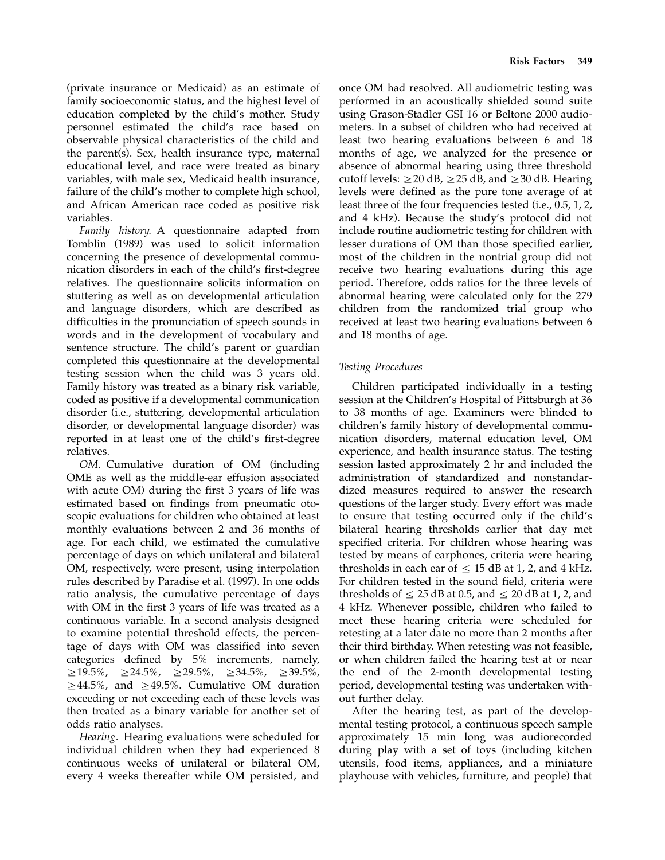(private insurance or Medicaid) as an estimate of family socioeconomic status, and the highest level of education completed by the child's mother. Study personnel estimated the child's race based on observable physical characteristics of the child and the parent(s). Sex, health insurance type, maternal educational level, and race were treated as binary variables, with male sex, Medicaid health insurance, failure of the child's mother to complete high school, and African American race coded as positive risk variables.

Family history. A questionnaire adapted from Tomblin (1989) was used to solicit information concerning the presence of developmental communication disorders in each of the child's first-degree relatives. The questionnaire solicits information on stuttering as well as on developmental articulation and language disorders, which are described as difficulties in the pronunciation of speech sounds in words and in the development of vocabulary and sentence structure. The child's parent or guardian completed this questionnaire at the developmental testing session when the child was 3 years old. Family history was treated as a binary risk variable, coded as positive if a developmental communication disorder (i.e., stuttering, developmental articulation disorder, or developmental language disorder) was reported in at least one of the child's first-degree relatives.

OM. Cumulative duration of OM (including OME as well as the middle-ear effusion associated with acute OM) during the first 3 years of life was estimated based on findings from pneumatic otoscopic evaluations for children who obtained at least monthly evaluations between 2 and 36 months of age. For each child, we estimated the cumulative percentage of days on which unilateral and bilateral OM, respectively, were present, using interpolation rules described by Paradise et al. (1997). In one odds ratio analysis, the cumulative percentage of days with OM in the first 3 years of life was treated as a continuous variable. In a second analysis designed to examine potential threshold effects, the percentage of days with OM was classified into seven categories defined by 5% increments, namely,  $\geq$ 19.5%,  $\geq$ 24.5%,  $\geq$ 29.5%,  $\geq$ 34.5%,  $\geq$ 39.5%,  $\geq$ 44.5%, and  $\geq$ 49.5%. Cumulative OM duration exceeding or not exceeding each of these levels was then treated as a binary variable for another set of odds ratio analyses.

Hearing. Hearing evaluations were scheduled for individual children when they had experienced 8 continuous weeks of unilateral or bilateral OM, every 4 weeks thereafter while OM persisted, and

once OM had resolved. All audiometric testing was performed in an acoustically shielded sound suite using Grason-Stadler GSI 16 or Beltone 2000 audiometers. In a subset of children who had received at least two hearing evaluations between 6 and 18 months of age, we analyzed for the presence or absence of abnormal hearing using three threshold cutoff levels:  $\geq$  20 dB,  $\geq$  25 dB, and  $\geq$  30 dB. Hearing levels were defined as the pure tone average of at least three of the four frequencies tested (i.e., 0.5, 1, 2, and 4 kHz). Because the study's protocol did not include routine audiometric testing for children with lesser durations of OM than those specified earlier, most of the children in the nontrial group did not receive two hearing evaluations during this age period. Therefore, odds ratios for the three levels of abnormal hearing were calculated only for the 279 children from the randomized trial group who received at least two hearing evaluations between 6 and 18 months of age.

### Testing Procedures

Children participated individually in a testing session at the Children's Hospital of Pittsburgh at 36 to 38 months of age. Examiners were blinded to children's family history of developmental communication disorders, maternal education level, OM experience, and health insurance status. The testing session lasted approximately 2 hr and included the administration of standardized and nonstandardized measures required to answer the research questions of the larger study. Every effort was made to ensure that testing occurred only if the child's bilateral hearing thresholds earlier that day met specified criteria. For children whose hearing was tested by means of earphones, criteria were hearing thresholds in each ear of  $\leq 15$  dB at 1, 2, and 4 kHz. For children tested in the sound field, criteria were thresholds of  $\leq 25$  dB at 0.5, and  $\leq 20$  dB at 1, 2, and 4 kHz. Whenever possible, children who failed to meet these hearing criteria were scheduled for retesting at a later date no more than 2 months after their third birthday. When retesting was not feasible, or when children failed the hearing test at or near the end of the 2-month developmental testing period, developmental testing was undertaken without further delay.

After the hearing test, as part of the developmental testing protocol, a continuous speech sample approximately 15 min long was audiorecorded during play with a set of toys (including kitchen utensils, food items, appliances, and a miniature playhouse with vehicles, furniture, and people) that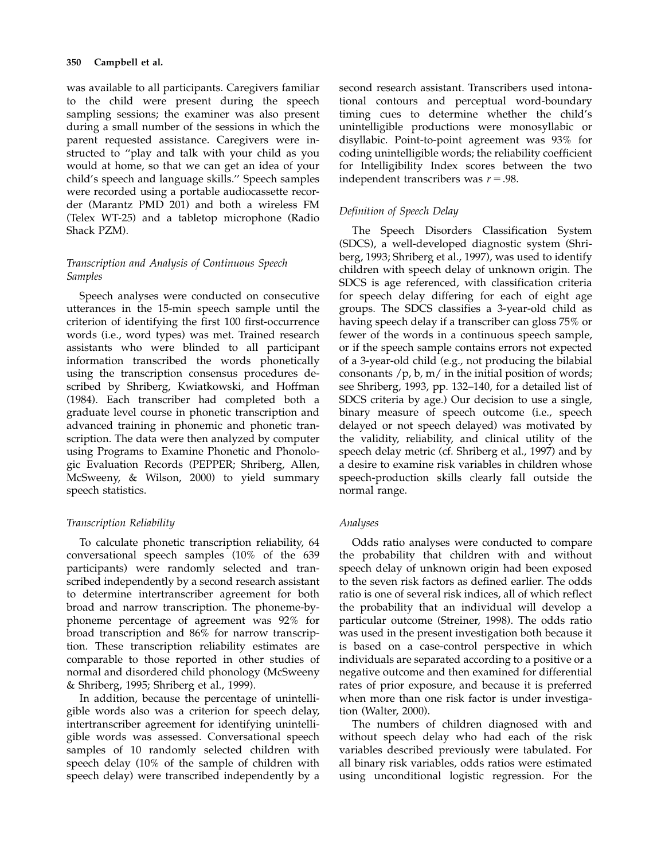was available to all participants. Caregivers familiar to the child were present during the speech sampling sessions; the examiner was also present during a small number of the sessions in which the parent requested assistance. Caregivers were instructed to ''play and talk with your child as you would at home, so that we can get an idea of your child's speech and language skills.'' Speech samples were recorded using a portable audiocassette recorder (Marantz PMD 201) and both a wireless FM (Telex WT-25) and a tabletop microphone (Radio Shack PZM).

# Transcription and Analysis of Continuous Speech Samples

Speech analyses were conducted on consecutive utterances in the 15-min speech sample until the criterion of identifying the first 100 first-occurrence words (i.e., word types) was met. Trained research assistants who were blinded to all participant information transcribed the words phonetically using the transcription consensus procedures described by Shriberg, Kwiatkowski, and Hoffman (1984). Each transcriber had completed both a graduate level course in phonetic transcription and advanced training in phonemic and phonetic transcription. The data were then analyzed by computer using Programs to Examine Phonetic and Phonologic Evaluation Records (PEPPER; Shriberg, Allen, McSweeny, & Wilson, 2000) to yield summary speech statistics.

# Transcription Reliability

To calculate phonetic transcription reliability, 64 conversational speech samples (10% of the 639 participants) were randomly selected and transcribed independently by a second research assistant to determine intertranscriber agreement for both broad and narrow transcription. The phoneme-byphoneme percentage of agreement was 92% for broad transcription and 86% for narrow transcription. These transcription reliability estimates are comparable to those reported in other studies of normal and disordered child phonology (McSweeny & Shriberg, 1995; Shriberg et al., 1999).

In addition, because the percentage of unintelligible words also was a criterion for speech delay, intertranscriber agreement for identifying unintelligible words was assessed. Conversational speech samples of 10 randomly selected children with speech delay (10% of the sample of children with speech delay) were transcribed independently by a

second research assistant. Transcribers used intonational contours and perceptual word-boundary timing cues to determine whether the child's unintelligible productions were monosyllabic or disyllabic. Point-to-point agreement was 93% for coding unintelligible words; the reliability coefficient for Intelligibility Index scores between the two independent transcribers was  $r = .98$ .

# Definition of Speech Delay

The Speech Disorders Classification System (SDCS), a well-developed diagnostic system (Shriberg, 1993; Shriberg et al., 1997), was used to identify children with speech delay of unknown origin. The SDCS is age referenced, with classification criteria for speech delay differing for each of eight age groups. The SDCS classifies a 3-year-old child as having speech delay if a transcriber can gloss 75% or fewer of the words in a continuous speech sample, or if the speech sample contains errors not expected of a 3-year-old child (e.g., not producing the bilabial consonants  $/p$ ,  $b$ ,  $m/$  in the initial position of words; see Shriberg, 1993, pp. 132–140, for a detailed list of SDCS criteria by age.) Our decision to use a single, binary measure of speech outcome (i.e., speech delayed or not speech delayed) was motivated by the validity, reliability, and clinical utility of the speech delay metric (cf. Shriberg et al., 1997) and by a desire to examine risk variables in children whose speech-production skills clearly fall outside the normal range.

# Analyses

Odds ratio analyses were conducted to compare the probability that children with and without speech delay of unknown origin had been exposed to the seven risk factors as defined earlier. The odds ratio is one of several risk indices, all of which reflect the probability that an individual will develop a particular outcome (Streiner, 1998). The odds ratio was used in the present investigation both because it is based on a case-control perspective in which individuals are separated according to a positive or a negative outcome and then examined for differential rates of prior exposure, and because it is preferred when more than one risk factor is under investigation (Walter, 2000).

The numbers of children diagnosed with and without speech delay who had each of the risk variables described previously were tabulated. For all binary risk variables, odds ratios were estimated using unconditional logistic regression. For the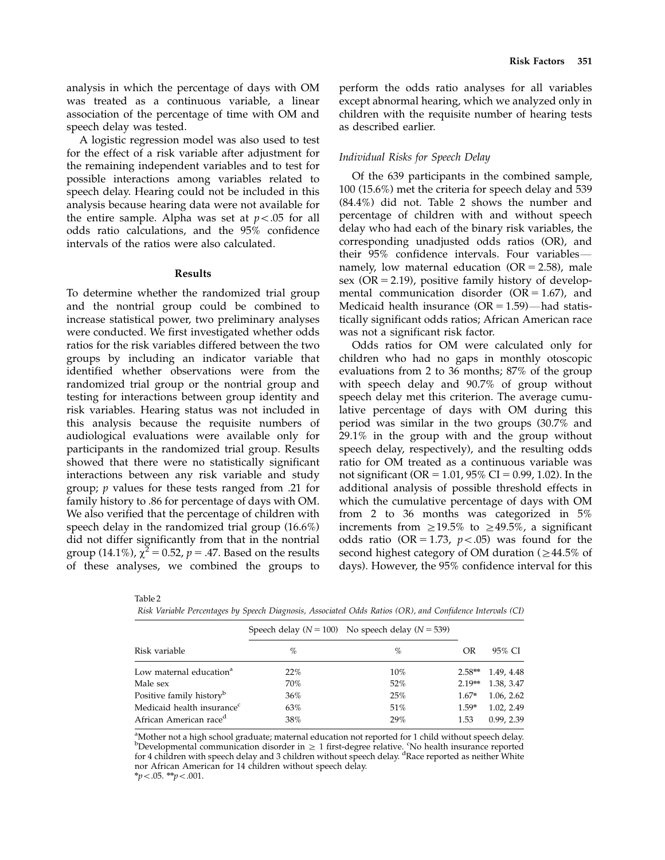analysis in which the percentage of days with OM was treated as a continuous variable, a linear association of the percentage of time with OM and speech delay was tested.

A logistic regression model was also used to test for the effect of a risk variable after adjustment for the remaining independent variables and to test for possible interactions among variables related to speech delay. Hearing could not be included in this analysis because hearing data were not available for the entire sample. Alpha was set at  $p < .05$  for all odds ratio calculations, and the 95% confidence intervals of the ratios were also calculated.

#### Results

To determine whether the randomized trial group and the nontrial group could be combined to increase statistical power, two preliminary analyses were conducted. We first investigated whether odds ratios for the risk variables differed between the two groups by including an indicator variable that identified whether observations were from the randomized trial group or the nontrial group and testing for interactions between group identity and risk variables. Hearing status was not included in this analysis because the requisite numbers of audiological evaluations were available only for participants in the randomized trial group. Results showed that there were no statistically significant interactions between any risk variable and study group; p values for these tests ranged from .21 for family history to .86 for percentage of days with OM. We also verified that the percentage of children with speech delay in the randomized trial group (16.6%) did not differ significantly from that in the nontrial group (14.1%),  $\chi^2 = 0.52$ ,  $p = .47$ . Based on the results of these analyses, we combined the groups to

perform the odds ratio analyses for all variables except abnormal hearing, which we analyzed only in children with the requisite number of hearing tests as described earlier.

### Individual Risks for Speech Delay

Of the 639 participants in the combined sample, 100 (15.6%) met the criteria for speech delay and 539 (84.4%) did not. Table 2 shows the number and percentage of children with and without speech delay who had each of the binary risk variables, the corresponding unadjusted odds ratios (OR), and their  $95\%$  confidence intervals. Four variables namely, low maternal education  $(OR = 2.58)$ , male sex  $(OR = 2.19)$ , positive family history of developmental communication disorder  $(OR = 1.67)$ , and Medicaid health insurance  $(OR = 1.59)$ —had statistically significant odds ratios; African American race was not a significant risk factor.

Odds ratios for OM were calculated only for children who had no gaps in monthly otoscopic evaluations from 2 to 36 months; 87% of the group with speech delay and 90.7% of group without speech delay met this criterion. The average cumulative percentage of days with OM during this period was similar in the two groups (30.7% and 29.1% in the group with and the group without speech delay, respectively), and the resulting odds ratio for OM treated as a continuous variable was not significant (OR = 1.01, 95% CI = 0.99, 1.02). In the additional analysis of possible threshold effects in which the cumulative percentage of days with OM from 2 to 36 months was categorized in 5% increments from  $\geq 19.5\%$  to  $\geq 49.5\%$ , a significant odds ratio (OR = 1.73,  $p < .05$ ) was found for the second highest category of OM duration ( $\geq$ 44.5% of days). However, the 95% confidence interval for this

|                                        |      | Speech delay ( $N = 100$ ) No speech delay ( $N = 539$ ) |           |            |
|----------------------------------------|------|----------------------------------------------------------|-----------|------------|
| Risk variable                          | $\%$ | $\%$                                                     | OR        | 95% CI     |
| Low maternal education <sup>a</sup>    | 22%  | $10\%$                                                   | $2.58***$ | 1.49, 4.48 |
| Male sex                               | 70%  | 52%                                                      | $2.19***$ | 1.38, 3.47 |
| Positive family history <sup>b</sup>   | 36%  | 25%                                                      | $1.67*$   | 1.06, 2.62 |
| Medicaid health insurance <sup>c</sup> | 63%  | 51%                                                      | $1.59*$   | 1.02.2.49  |
| African American race <sup>d</sup>     | 38%  | 29%                                                      | 1.53      | 0.99, 2.39 |
|                                        |      |                                                          |           |            |

Risk Variable Percentages by Speech Diagnosis, Associated Odds Ratios (OR), and Confidence Intervals (CI)

Table 2

<sup>a</sup>Mother not a high school graduate; maternal education not reported for 1 child without speech delay.  $b$ Developmental communication disorder in  $\geq 1$  first-degree relative. <sup>c</sup>No health insurance reported for 4 children with speech delay and 3 children without speech delay. <sup>d</sup>Race reported as neither White nor African American for 14 children without speech delay. \* $p < .05$ . \*\* $p < .001$ .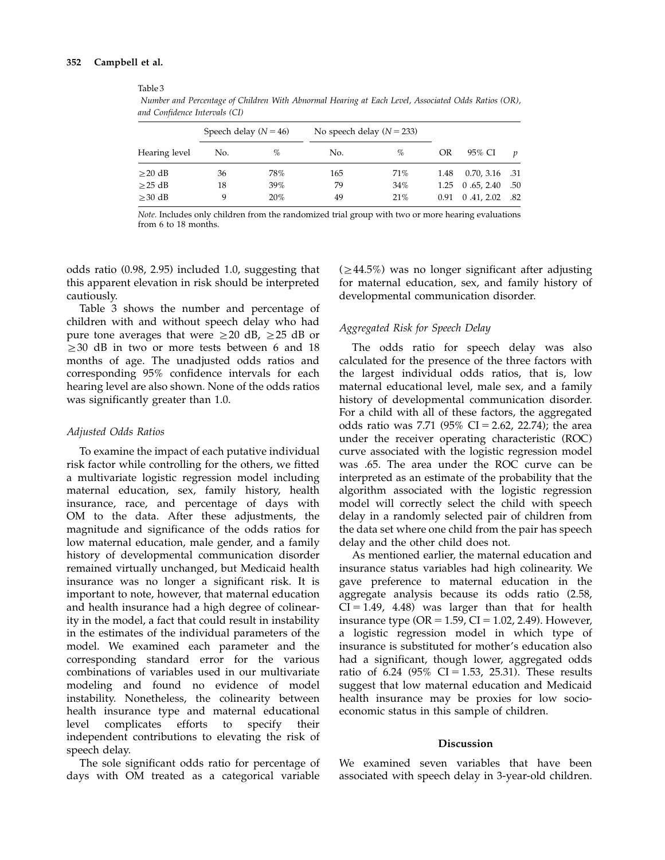Table 3

Number and Percentage of Children With Abnormal Hearing at Each Level, Associated Odds Ratios (OR), and Confidence Intervals (CI)

|               |     | No speech delay $(N = 233)$<br>Speech delay $(N = 46)$ |     |      |      |                  |     |
|---------------|-----|--------------------------------------------------------|-----|------|------|------------------|-----|
| Hearing level | No. | $\%$                                                   | No. | $\%$ | OR   | 95% CI           | v   |
| $\geq$ 20 dB  | 36  | 78%                                                    | 165 | 71%  | 1.48 | $0.70, 3.16$ .31 |     |
| $\geq$ 25 dB  | 18  | 39%                                                    | 79  | 34%  | 1.25 | 0.65, 2.40       | .50 |
| $\geq$ 30 dB  | 9   | 20%                                                    | 49  | 21%  | 0.91 | $0.41, 2.02$ .82 |     |

Note. Includes only children from the randomized trial group with two or more hearing evaluations from 6 to 18 months.

odds ratio (0.98, 2.95) included 1.0, suggesting that this apparent elevation in risk should be interpreted cautiously.

Table 3 shows the number and percentage of children with and without speech delay who had pure tone averages that were  $\geq 20$  dB,  $\geq 25$  dB or  $\geq$  30 dB in two or more tests between 6 and 18 months of age. The unadjusted odds ratios and corresponding 95% confidence intervals for each hearing level are also shown. None of the odds ratios was significantly greater than 1.0.

### Adjusted Odds Ratios

To examine the impact of each putative individual risk factor while controlling for the others, we fitted a multivariate logistic regression model including maternal education, sex, family history, health insurance, race, and percentage of days with OM to the data. After these adjustments, the magnitude and significance of the odds ratios for low maternal education, male gender, and a family history of developmental communication disorder remained virtually unchanged, but Medicaid health insurance was no longer a significant risk. It is important to note, however, that maternal education and health insurance had a high degree of colinearity in the model, a fact that could result in instability in the estimates of the individual parameters of the model. We examined each parameter and the corresponding standard error for the various combinations of variables used in our multivariate modeling and found no evidence of model instability. Nonetheless, the colinearity between health insurance type and maternal educational level complicates efforts to specify their independent contributions to elevating the risk of speech delay.

The sole significant odds ratio for percentage of days with OM treated as a categorical variable  $(\geq 44.5\%)$  was no longer significant after adjusting for maternal education, sex, and family history of developmental communication disorder.

# Aggregated Risk for Speech Delay

The odds ratio for speech delay was also calculated for the presence of the three factors with the largest individual odds ratios, that is, low maternal educational level, male sex, and a family history of developmental communication disorder. For a child with all of these factors, the aggregated odds ratio was 7.71 (95% CI = 2.62, 22.74); the area under the receiver operating characteristic (ROC) curve associated with the logistic regression model was .65. The area under the ROC curve can be interpreted as an estimate of the probability that the algorithm associated with the logistic regression model will correctly select the child with speech delay in a randomly selected pair of children from the data set where one child from the pair has speech delay and the other child does not.

As mentioned earlier, the maternal education and insurance status variables had high colinearity. We gave preference to maternal education in the aggregate analysis because its odds ratio (2.58,  $CI = 1.49, 4.48$ ) was larger than that for health insurance type ( $OR = 1.59$ ,  $CI = 1.02$ , 2.49). However, a logistic regression model in which type of insurance is substituted for mother's education also had a significant, though lower, aggregated odds ratio of 6.24 (95% CI = 1.53, 25.31). These results suggest that low maternal education and Medicaid health insurance may be proxies for low socioeconomic status in this sample of children.

### Discussion

We examined seven variables that have been associated with speech delay in 3-year-old children.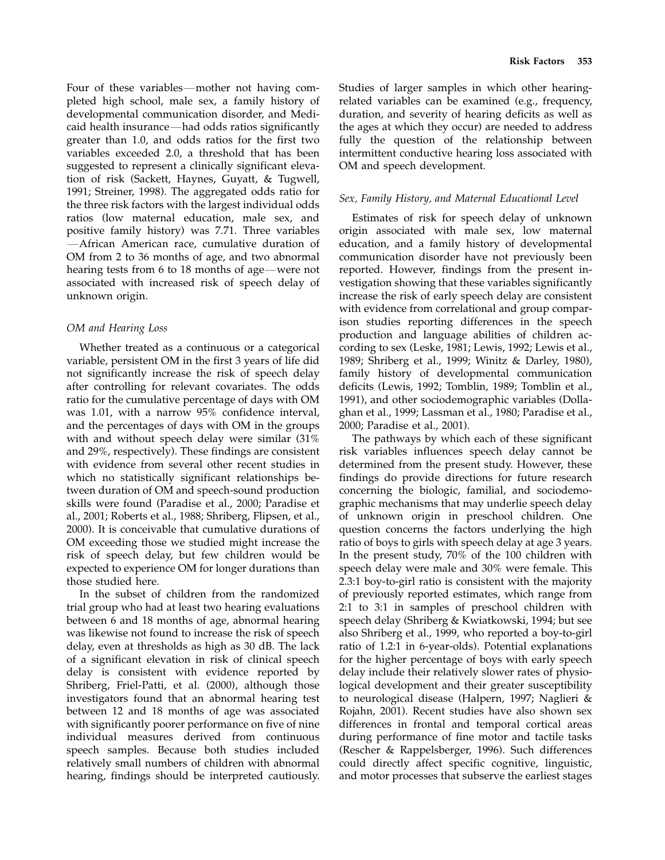Four of these variables—mother not having completed high school, male sex, a family history of developmental communication disorder, and Medicaid health insurance—had odds ratios significantly greater than 1.0, and odds ratios for the first two variables exceeded 2.0, a threshold that has been suggested to represent a clinically significant elevation of risk (Sackett, Haynes, Guyatt, & Tugwell, 1991; Streiner, 1998). The aggregated odds ratio for the three risk factors with the largest individual odds ratios (low maternal education, male sex, and positive family history) was 7.71. Three variables -African American race, cumulative duration of OM from 2 to 36 months of age, and two abnormal hearing tests from  $6$  to 18 months of age—were not associated with increased risk of speech delay of unknown origin.

# OM and Hearing Loss

Whether treated as a continuous or a categorical variable, persistent OM in the first 3 years of life did not significantly increase the risk of speech delay after controlling for relevant covariates. The odds ratio for the cumulative percentage of days with OM was 1.01, with a narrow 95% confidence interval, and the percentages of days with OM in the groups with and without speech delay were similar (31% and 29%, respectively). These findings are consistent with evidence from several other recent studies in which no statistically significant relationships between duration of OM and speech-sound production skills were found (Paradise et al., 2000; Paradise et al., 2001; Roberts et al., 1988; Shriberg, Flipsen, et al., 2000). It is conceivable that cumulative durations of OM exceeding those we studied might increase the risk of speech delay, but few children would be expected to experience OM for longer durations than those studied here.

In the subset of children from the randomized trial group who had at least two hearing evaluations between 6 and 18 months of age, abnormal hearing was likewise not found to increase the risk of speech delay, even at thresholds as high as 30 dB. The lack of a significant elevation in risk of clinical speech delay is consistent with evidence reported by Shriberg, Friel-Patti, et al. (2000), although those investigators found that an abnormal hearing test between 12 and 18 months of age was associated with significantly poorer performance on five of nine individual measures derived from continuous speech samples. Because both studies included relatively small numbers of children with abnormal hearing, findings should be interpreted cautiously.

Studies of larger samples in which other hearingrelated variables can be examined (e.g., frequency, duration, and severity of hearing deficits as well as the ages at which they occur) are needed to address fully the question of the relationship between intermittent conductive hearing loss associated with OM and speech development.

# Sex, Family History, and Maternal Educational Level

Estimates of risk for speech delay of unknown origin associated with male sex, low maternal education, and a family history of developmental communication disorder have not previously been reported. However, findings from the present investigation showing that these variables significantly increase the risk of early speech delay are consistent with evidence from correlational and group comparison studies reporting differences in the speech production and language abilities of children according to sex (Leske, 1981; Lewis, 1992; Lewis et al., 1989; Shriberg et al., 1999; Winitz & Darley, 1980), family history of developmental communication deficits (Lewis, 1992; Tomblin, 1989; Tomblin et al., 1991), and other sociodemographic variables (Dollaghan et al., 1999; Lassman et al., 1980; Paradise et al., 2000; Paradise et al., 2001).

The pathways by which each of these significant risk variables influences speech delay cannot be determined from the present study. However, these findings do provide directions for future research concerning the biologic, familial, and sociodemographic mechanisms that may underlie speech delay of unknown origin in preschool children. One question concerns the factors underlying the high ratio of boys to girls with speech delay at age 3 years. In the present study, 70% of the 100 children with speech delay were male and 30% were female. This 2.3:1 boy-to-girl ratio is consistent with the majority of previously reported estimates, which range from 2:1 to 3:1 in samples of preschool children with speech delay (Shriberg & Kwiatkowski, 1994; but see also Shriberg et al., 1999, who reported a boy-to-girl ratio of 1.2:1 in 6-year-olds). Potential explanations for the higher percentage of boys with early speech delay include their relatively slower rates of physiological development and their greater susceptibility to neurological disease (Halpern, 1997; Naglieri & Rojahn, 2001). Recent studies have also shown sex differences in frontal and temporal cortical areas during performance of fine motor and tactile tasks (Rescher & Rappelsberger, 1996). Such differences could directly affect specific cognitive, linguistic, and motor processes that subserve the earliest stages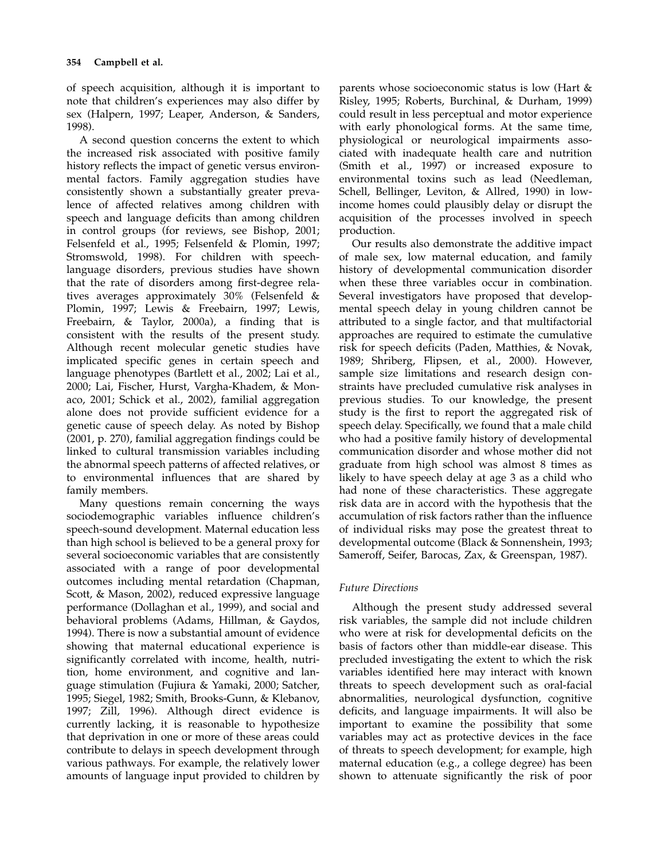of speech acquisition, although it is important to note that children's experiences may also differ by sex (Halpern, 1997; Leaper, Anderson, & Sanders, 1998).

A second question concerns the extent to which the increased risk associated with positive family history reflects the impact of genetic versus environmental factors. Family aggregation studies have consistently shown a substantially greater prevalence of affected relatives among children with speech and language deficits than among children in control groups (for reviews, see Bishop, 2001; Felsenfeld et al., 1995; Felsenfeld & Plomin, 1997; Stromswold, 1998). For children with speechlanguage disorders, previous studies have shown that the rate of disorders among first-degree relatives averages approximately 30% (Felsenfeld & Plomin, 1997; Lewis & Freebairn, 1997; Lewis, Freebairn, & Taylor, 2000a), a finding that is consistent with the results of the present study. Although recent molecular genetic studies have implicated specific genes in certain speech and language phenotypes (Bartlett et al., 2002; Lai et al., 2000; Lai, Fischer, Hurst, Vargha-Khadem, & Monaco, 2001; Schick et al., 2002), familial aggregation alone does not provide sufficient evidence for a genetic cause of speech delay. As noted by Bishop (2001, p. 270), familial aggregation findings could be linked to cultural transmission variables including the abnormal speech patterns of affected relatives, or to environmental influences that are shared by family members.

Many questions remain concerning the ways sociodemographic variables influence children's speech-sound development. Maternal education less than high school is believed to be a general proxy for several socioeconomic variables that are consistently associated with a range of poor developmental outcomes including mental retardation (Chapman, Scott, & Mason, 2002), reduced expressive language performance (Dollaghan et al., 1999), and social and behavioral problems (Adams, Hillman, & Gaydos, 1994). There is now a substantial amount of evidence showing that maternal educational experience is significantly correlated with income, health, nutrition, home environment, and cognitive and language stimulation (Fujiura & Yamaki, 2000; Satcher, 1995; Siegel, 1982; Smith, Brooks-Gunn, & Klebanov, 1997; Zill, 1996). Although direct evidence is currently lacking, it is reasonable to hypothesize that deprivation in one or more of these areas could contribute to delays in speech development through various pathways. For example, the relatively lower amounts of language input provided to children by parents whose socioeconomic status is low (Hart & Risley, 1995; Roberts, Burchinal, & Durham, 1999) could result in less perceptual and motor experience with early phonological forms. At the same time, physiological or neurological impairments associated with inadequate health care and nutrition (Smith et al., 1997) or increased exposure to environmental toxins such as lead (Needleman, Schell, Bellinger, Leviton, & Allred, 1990) in lowincome homes could plausibly delay or disrupt the acquisition of the processes involved in speech production.

Our results also demonstrate the additive impact of male sex, low maternal education, and family history of developmental communication disorder when these three variables occur in combination. Several investigators have proposed that developmental speech delay in young children cannot be attributed to a single factor, and that multifactorial approaches are required to estimate the cumulative risk for speech deficits (Paden, Matthies, & Novak, 1989; Shriberg, Flipsen, et al., 2000). However, sample size limitations and research design constraints have precluded cumulative risk analyses in previous studies. To our knowledge, the present study is the first to report the aggregated risk of speech delay. Specifically, we found that a male child who had a positive family history of developmental communication disorder and whose mother did not graduate from high school was almost 8 times as likely to have speech delay at age 3 as a child who had none of these characteristics. These aggregate risk data are in accord with the hypothesis that the accumulation of risk factors rather than the influence of individual risks may pose the greatest threat to developmental outcome (Black & Sonnenshein, 1993; Sameroff, Seifer, Barocas, Zax, & Greenspan, 1987).

# Future Directions

Although the present study addressed several risk variables, the sample did not include children who were at risk for developmental deficits on the basis of factors other than middle-ear disease. This precluded investigating the extent to which the risk variables identified here may interact with known threats to speech development such as oral-facial abnormalities, neurological dysfunction, cognitive deficits, and language impairments. It will also be important to examine the possibility that some variables may act as protective devices in the face of threats to speech development; for example, high maternal education (e.g., a college degree) has been shown to attenuate significantly the risk of poor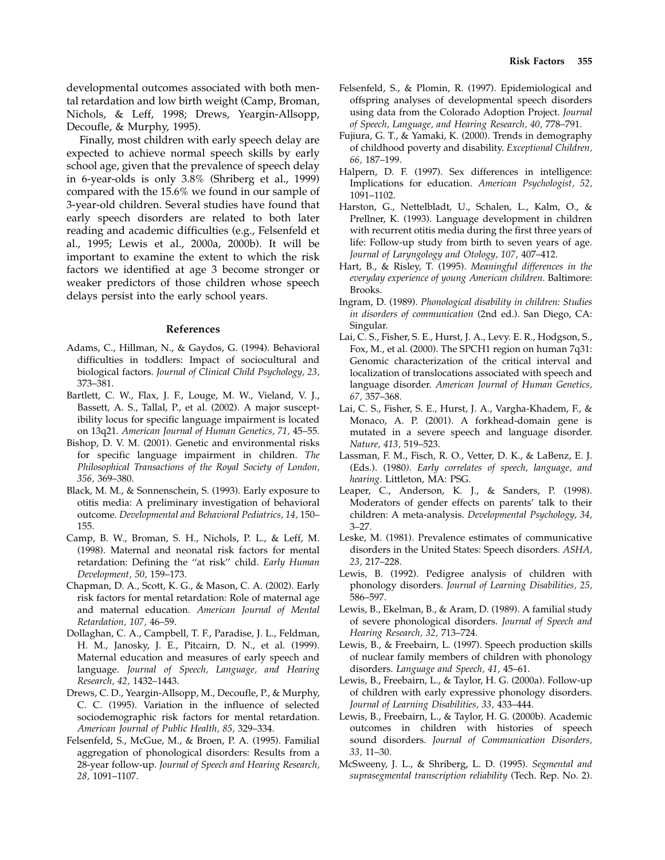developmental outcomes associated with both mental retardation and low birth weight (Camp, Broman, Nichols, & Leff, 1998; Drews, Yeargin-Allsopp, Decoufle, & Murphy, 1995).

Finally, most children with early speech delay are expected to achieve normal speech skills by early school age, given that the prevalence of speech delay in 6-year-olds is only 3.8% (Shriberg et al., 1999) compared with the 15.6% we found in our sample of 3-year-old children. Several studies have found that early speech disorders are related to both later reading and academic difficulties (e.g., Felsenfeld et al., 1995; Lewis et al., 2000a, 2000b). It will be important to examine the extent to which the risk factors we identified at age 3 become stronger or weaker predictors of those children whose speech delays persist into the early school years.

### References

- Adams, C., Hillman, N., & Gaydos, G. (1994). Behavioral difficulties in toddlers: Impact of sociocultural and biological factors. Journal of Clinical Child Psychology, 23, 373–381.
- Bartlett, C. W., Flax, J. F., Louge, M. W., Vieland, V. J., Bassett, A. S., Tallal, P., et al. (2002). A major susceptibility locus for specific language impairment is located on 13q21. American Journal of Human Genetics, 71, 45–55.
- Bishop, D. V. M. (2001). Genetic and environmental risks for specific language impairment in children. The Philosophical Transactions of the Royal Society of London, 356, 369–380.
- Black, M. M., & Sonnenschein, S. (1993). Early exposure to otitis media: A preliminary investigation of behavioral outcome. Developmental and Behavioral Pediatrics, 14, 150– 155.
- Camp, B. W., Broman, S. H., Nichols, P. L., & Leff, M. (1998). Maternal and neonatal risk factors for mental retardation: Defining the ''at risk'' child. Early Human Development, 50, 159–173.
- Chapman, D. A., Scott, K. G., & Mason, C. A. (2002). Early risk factors for mental retardation: Role of maternal age and maternal education. American Journal of Mental Retardation, 107, 46–59.
- Dollaghan, C. A., Campbell, T. F., Paradise, J. L., Feldman, H. M., Janosky, J. E., Pitcairn, D. N., et al. (1999). Maternal education and measures of early speech and language. Journal of Speech, Language, and Hearing Research, 42, 1432–1443.
- Drews, C. D., Yeargin-Allsopp, M., Decoufle, P., & Murphy, C. C. (1995). Variation in the influence of selected sociodemographic risk factors for mental retardation. American Journal of Public Health, 85, 329–334.
- Felsenfeld, S., McGue, M., & Broen, P. A. (1995). Familial aggregation of phonological disorders: Results from a 28-year follow-up. Journal of Speech and Hearing Research, 28, 1091–1107.
- Felsenfeld, S., & Plomin, R. (1997). Epidemiological and offspring analyses of developmental speech disorders using data from the Colorado Adoption Project. Journal of Speech, Language, and Hearing Research, 40, 778–791.
- Fujiura, G. T., & Yamaki, K. (2000). Trends in demography of childhood poverty and disability. Exceptional Children, 66, 187–199.
- Halpern, D. F. (1997). Sex differences in intelligence: Implications for education. American Psychologist, 52, 1091–1102.
- Harston, G., Nettelbladt, U., Schalen, L., Kalm, O., & Prellner, K. (1993). Language development in children with recurrent otitis media during the first three years of life: Follow-up study from birth to seven years of age. Journal of Laryngology and Otology, 107, 407–412.
- Hart, B., & Risley, T. (1995). Meaningful differences in the everyday experience of young American children. Baltimore: Brooks.
- Ingram, D. (1989). Phonological disability in children: Studies in disorders of communication (2nd ed.). San Diego, CA: Singular.
- Lai, C. S., Fisher, S. E., Hurst, J. A., Levy. E. R., Hodgson, S., Fox, M., et al. (2000). The SPCH1 region on human 7q31: Genomic characterization of the critical interval and localization of translocations associated with speech and language disorder. American Journal of Human Genetics, 67, 357–368.
- Lai, C. S., Fisher, S. E., Hurst, J. A., Vargha-Khadem, F., & Monaco, A. P. (2001). A forkhead-domain gene is mutated in a severe speech and language disorder. Nature, 413, 519–523.
- Lassman, F. M., Fisch, R. O., Vetter, D. K., & LaBenz, E. J. (Eds.). (1980). Early correlates of speech, language, and hearing. Littleton, MA: PSG.
- Leaper, C., Anderson, K. J., & Sanders, P. (1998). Moderators of gender effects on parents' talk to their children: A meta-analysis. Developmental Psychology, 34, 3–27.
- Leske, M. (1981). Prevalence estimates of communicative disorders in the United States: Speech disorders. ASHA, 23, 217–228.
- Lewis, B. (1992). Pedigree analysis of children with phonology disorders. Journal of Learning Disabilities, 25, 586–597.
- Lewis, B., Ekelman, B., & Aram, D. (1989). A familial study of severe phonological disorders. Journal of Speech and Hearing Research, 32, 713–724.
- Lewis, B., & Freebairn, L. (1997). Speech production skills of nuclear family members of children with phonology disorders. Language and Speech, 41, 45–61.
- Lewis, B., Freebairn, L., & Taylor, H. G. (2000a). Follow-up of children with early expressive phonology disorders. Journal of Learning Disabilities, 33, 433–444.
- Lewis, B., Freebairn, L., & Taylor, H. G. (2000b). Academic outcomes in children with histories of speech sound disorders. Journal of Communication Disorders, 33, 11–30.
- McSweeny, J. L., & Shriberg, L. D. (1995). Segmental and suprasegmental transcription reliability (Tech. Rep. No. 2).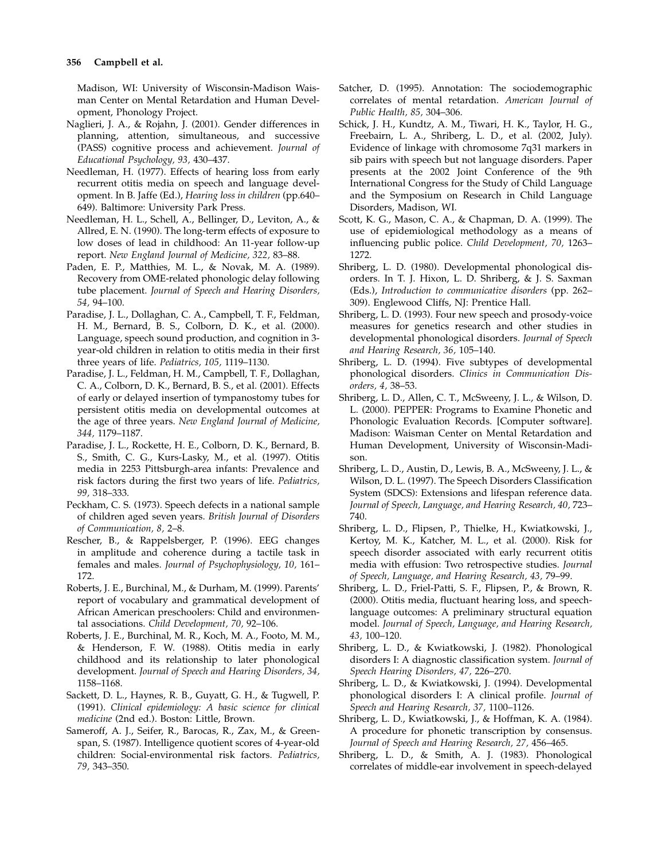Madison, WI: University of Wisconsin-Madison Waisman Center on Mental Retardation and Human Development, Phonology Project.

- Naglieri, J. A., & Rojahn, J. (2001). Gender differences in planning, attention, simultaneous, and successive (PASS) cognitive process and achievement. Journal of Educational Psychology, 93, 430–437.
- Needleman, H. (1977). Effects of hearing loss from early recurrent otitis media on speech and language development. In B. Jaffe (Ed.), Hearing loss in children (pp.640– 649). Baltimore: University Park Press.
- Needleman, H. L., Schell, A., Bellinger, D., Leviton, A., & Allred, E. N. (1990). The long-term effects of exposure to low doses of lead in childhood: An 11-year follow-up report. New England Journal of Medicine, 322, 83–88.
- Paden, E. P., Matthies, M. L., & Novak, M. A. (1989). Recovery from OME-related phonologic delay following tube placement. Journal of Speech and Hearing Disorders, 54, 94–100.
- Paradise, J. L., Dollaghan, C. A., Campbell, T. F., Feldman, H. M., Bernard, B. S., Colborn, D. K., et al. (2000). Language, speech sound production, and cognition in 3 year-old children in relation to otitis media in their first three years of life. Pediatrics, 105, 1119–1130.
- Paradise, J. L., Feldman, H. M., Campbell, T. F., Dollaghan, C. A., Colborn, D. K., Bernard, B. S., et al. (2001). Effects of early or delayed insertion of tympanostomy tubes for persistent otitis media on developmental outcomes at the age of three years. New England Journal of Medicine, 344, 1179–1187.
- Paradise, J. L., Rockette, H. E., Colborn, D. K., Bernard, B. S., Smith, C. G., Kurs-Lasky, M., et al. (1997). Otitis media in 2253 Pittsburgh-area infants: Prevalence and risk factors during the first two years of life. Pediatrics, 99, 318–333.
- Peckham, C. S. (1973). Speech defects in a national sample of children aged seven years. British Journal of Disorders of Communication, 8, 2–8.
- Rescher, B., & Rappelsberger, P. (1996). EEG changes in amplitude and coherence during a tactile task in females and males. Journal of Psychophysiology, 10, 161– 172.
- Roberts, J. E., Burchinal, M., & Durham, M. (1999). Parents' report of vocabulary and grammatical development of African American preschoolers: Child and environmental associations. Child Development, 70, 92–106.
- Roberts, J. E., Burchinal, M. R., Koch, M. A., Footo, M. M., & Henderson, F. W. (1988). Otitis media in early childhood and its relationship to later phonological development. Journal of Speech and Hearing Disorders, 34, 1158–1168.
- Sackett, D. L., Haynes, R. B., Guyatt, G. H., & Tugwell, P. (1991). Clinical epidemiology: A basic science for clinical medicine (2nd ed.). Boston: Little, Brown.
- Sameroff, A. J., Seifer, R., Barocas, R., Zax, M., & Greenspan, S. (1987). Intelligence quotient scores of 4-year-old children: Social-environmental risk factors. Pediatrics, 79, 343–350.
- Satcher, D. (1995). Annotation: The sociodemographic correlates of mental retardation. American Journal of Public Health, 85, 304–306.
- Schick, J. H., Kundtz, A. M., Tiwari, H. K., Taylor, H. G., Freebairn, L. A., Shriberg, L. D., et al. (2002, July). Evidence of linkage with chromosome 7q31 markers in sib pairs with speech but not language disorders. Paper presents at the 2002 Joint Conference of the 9th International Congress for the Study of Child Language and the Symposium on Research in Child Language Disorders, Madison, WI.
- Scott, K. G., Mason, C. A., & Chapman, D. A. (1999). The use of epidemiological methodology as a means of influencing public police. Child Development, 70, 1263– 1272.
- Shriberg, L. D. (1980). Developmental phonological disorders. In T. J. Hixon, L. D. Shriberg, & J. S. Saxman (Eds.), Introduction to communicative disorders (pp. 262– 309). Englewood Cliffs, NJ: Prentice Hall.
- Shriberg, L. D. (1993). Four new speech and prosody-voice measures for genetics research and other studies in developmental phonological disorders. Journal of Speech and Hearing Research, 36, 105–140.
- Shriberg, L. D. (1994). Five subtypes of developmental phonological disorders. Clinics in Communication Disorders, 4, 38–53.
- Shriberg, L. D., Allen, C. T., McSweeny, J. L., & Wilson, D. L. (2000). PEPPER: Programs to Examine Phonetic and Phonologic Evaluation Records. [Computer software]. Madison: Waisman Center on Mental Retardation and Human Development, University of Wisconsin-Madison.
- Shriberg, L. D., Austin, D., Lewis, B. A., McSweeny, J. L., & Wilson, D. L. (1997). The Speech Disorders Classification System (SDCS): Extensions and lifespan reference data. Journal of Speech, Language, and Hearing Research, 40, 723– 740.
- Shriberg, L. D., Flipsen, P., Thielke, H., Kwiatkowski, J., Kertoy, M. K., Katcher, M. L., et al. (2000). Risk for speech disorder associated with early recurrent otitis media with effusion: Two retrospective studies. Journal of Speech, Language, and Hearing Research, 43, 79–99.
- Shriberg, L. D., Friel-Patti, S. F., Flipsen, P., & Brown, R. (2000). Otitis media, fluctuant hearing loss, and speechlanguage outcomes: A preliminary structural equation model. Journal of Speech, Language, and Hearing Research, 43, 100–120.
- Shriberg, L. D., & Kwiatkowski, J. (1982). Phonological disorders I: A diagnostic classification system. Journal of Speech Hearing Disorders, 47, 226–270.
- Shriberg, L. D., & Kwiatkowski, J. (1994). Developmental phonological disorders I: A clinical profile. Journal of Speech and Hearing Research, 37, 1100–1126.
- Shriberg, L. D., Kwiatkowski, J., & Hoffman, K. A. (1984). A procedure for phonetic transcription by consensus. Journal of Speech and Hearing Research, 27, 456–465.
- Shriberg, L. D., & Smith, A. J. (1983). Phonological correlates of middle-ear involvement in speech-delayed